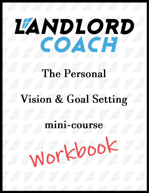# **IANDIORD** COACH

# The Personal

# Vision & Goal Setting

# mini-course

Workbook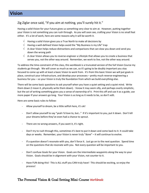## Zig Ziglar once said, "If you aim at nothing, you'll surely hit it."

Having a solid Vision for your Future gives us something very clear to aim at. However, putting together your Vision is not something you can rush through. As you will soon see, crafting your Vision is no small feat either. It's a lot of work, here are some reasons why it will be worth it.

- $\sqrt{\phantom{a}}$  Having a solid Vision gives you a True North to make all decisions by
- $\sqrt{ }$  Having a well-defined Vision helps avoid the "My Business is my Life" trap
- $\sqrt{ }$  A clear Vision helps reduce distractions and comparisons that can slow you down and send you down the wrong path
- $\sqrt{ }$  A clear Vision allows you to reverse-engineer a Lifestyle that allows you to create a business that serves you, not the other way around. Remember, we work to live, not the other way around.

To address the time-constraint of this class, this workbook is a truncated version of the full Vision Course my students go through. We will cover as much as we can, so it's going to be doubly important you stay focused to come up with at least a basic Vision to work from. It's from this basic Vision we will put goals in place, construct your infrastructure, and develop your processes – pretty much reverse-engineering a business for you – so your Vision is truly the foundation from which we build everything else.

There will be some basic questions to ask yourself when you have a quiet setting and a quiet mind. Write them down (I mean it, physically write them down). I know it may seem silly, and perhaps overly simplistic, but the act of writing something gives you a sense of ownership of it. Print this off and use it as a guide, use more paper if your answers go long. Your Vision is as long as it needs to be, so don't edit.

Here are some basic rules to follow:

- Allow yourself to dream, be a little selfish here, it's ok!
- Don't allow yourself to say "yeah I'd love to, but…" If it's important to you, put it down. Don't kill your dreams before they've even had a chance to sprout.
- There are no wrong answers, if you want it, it's right.
- Don't try to rush through this, sometimes it's best to put it down and come back to it. It could take days or weeks. Remember, your Vision is never truly "done" – it will continue to evolve.
- If a question doesn't resonate with you, don't force it. Just go on to the next question. Spend time on the questions that do resonate with you. Not every question will be important to you.
- Don't confuse Goals for your Vision. Goals are the intermediate waypoints along the way to your Vision. Goals should be in alignment with your Vision, not counter to it.
- Have FUN doing this! This is ALL stuff you CAN truly have! This should be exciting, so enjoy the process!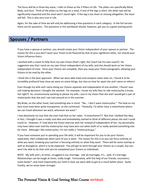The focus will be in three key areas, I refer to these as the 3 Pillars of Life. The pillars are specifically Mind, Body, and Soul. Think of the pillars as the legs on a stool, if one of the legs is short, the other two will be significantly impacted and the stool won't stand right. If the leg is too short or missing altogether, the stool will fall. This is also very true in Life.

Again, for the sake of time we will only be addressing a few questions in each category. In the full version there are 62 questions. The questions in this workbook should, however, get you to a good starting point.

# **Spouses / Partners**

If you have a spouse or partner, you should create your Vision independent of your spouse or partner. The reason for this is you don't want your Vision to be flavored by that of your significant other, nor should your Vision influence theirs.

I worked with a coach to help form my own Vision (that's right, the Coach has his own coach!) His suggestion was that I work on my own Vision independent of my wife, and she should work on her Vision independent of mine. Once your Visions are complete, then you swap your Vision paragraphs, allowing your Visions to be read by the other.

I think this is the best approach. When we were able meet and compare notes later on, I found it to be incredibly profound how close we were on some things, but also on how far apart she and I were on others!

Even though my wife and I were doing our Visions separate and independent of one another, I found I was still making decisions I thought she wanted. For example, I know my wife likes to ride motorcycles (I know, hot right?) So, unconsciously wanting to please my wife, I put in my Vision that she and I would get a pair of motorcycles that she and I can tool around on in the summer.

My Bride, on the other hand, had something else in mind. "No… I don't want motorcycles." The look on my face must have been quite transparent, so she continued. "Honestly, I'd rather have a motorhome where we can travel wherever we want, whenever we want."

I had absolutely no clue that she even had that on her radar. A motorhome?!? Not that I disliked the idea, in fact, I thought it was a really cool idea and immediately started to think of different places she and I could travel to. However, if I had done the Vision exercise with her instead of independent of her, my personality may have taken over and the motorcycles may have won out when both of us really wanted something else far more. Although I like motorcycles, I'm not really a "motorcycle guy."

If you have someone you're spending your life with, it will be important for you to do your Visions separately, then collaborate when each of you is done. The reason for this is so you can focus entirely on what you want, knowing your partner is focusing entirely on what they want. There will be some overlap as well as divergence, which is to be expected. You will get to work through your Visions as a couple, but you won't be able to do that until you've completed your Visions as individuals.

NOTE: My wife and I, at times, struggled in our marriage. Like all marriages, it's… well, it's marriage. Relationships can be tough at times, really tough. Fortunately, with the help of our friends, counselors, some books\*, and most importantly our Faith in God, we were able to get to a much better place. Quite frankly, we've never been stronger.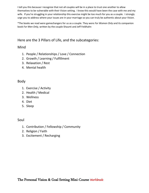I tell you this because I recognize that not all couples will be in a place to trust one another to allow themselves to be vulnerable with their Vision setting. I know this would have been the case with me and my wife. If you're struggling in your relationship this exercise might be too much for you as a couple. I strongly urge you to address where your issues are in your marriage so you can truly be authentic about your Vision.

\*The books we read were gamechangers for us as a couple. They were *For Women Only* and its companion book *For Men Only,* written by the couple Shaunti and Jeff Feldhahn

# Here are the 3 Pillars of Life, and the subcategories:

# Mind

- 1. People / Relationships / Love / Connection
- 2. Growth / Learning / Fulfillment
- 3. Relaxation / Rest
- 4. Mental health

# Body

- 1. Exercise / Activity
- 2. Health / Medical
- 3. Wellness
- 4. Diet
- 5. Sleep

# Soul

- 1. Contribution / Fellowship / Community
- 2. Religion / Faith
- 3. Excitement / Recharging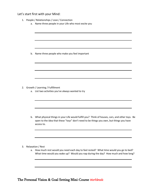### Let's start first with your Mind:

|    | 1. People / Relationships / Love / Connection                                                                                                                                                              |  |
|----|------------------------------------------------------------------------------------------------------------------------------------------------------------------------------------------------------------|--|
| a. | Name three people in your Life who most excite you                                                                                                                                                         |  |
|    |                                                                                                                                                                                                            |  |
|    |                                                                                                                                                                                                            |  |
| b. | Name three people who make you feel important                                                                                                                                                              |  |
|    |                                                                                                                                                                                                            |  |
|    |                                                                                                                                                                                                            |  |
|    |                                                                                                                                                                                                            |  |
|    | 2. Growth / Learning / Fulfillment                                                                                                                                                                         |  |
|    | a. List two activities you've always wanted to try                                                                                                                                                         |  |
|    |                                                                                                                                                                                                            |  |
|    |                                                                                                                                                                                                            |  |
|    | b. What physical things in your Life would fulfill you? Think of houses, cars, and other toys. Be<br>open to the idea that these "toys" don't need to be things you own, but things you have<br>access to. |  |
|    |                                                                                                                                                                                                            |  |
|    |                                                                                                                                                                                                            |  |

#### 3. Relaxation / Rest

a. How much rest would you need each day to feel rested? What time would you go to bed? What time would you wake up? Would you nap during the day? How much and how long?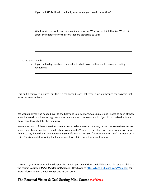- b. If you had \$25 Million in the bank, what would you do with your time?
- c. What movies or books do you most identify with? Why do you think that is? What is it about the characters or the story that are attractive to you?

- 4. Mental health
	- a. If you had a day, weekend, or week off, what two activities would leave you feeling recharged?

This isn't a complete picture\*, but this is a really good start! Take your time, go through the answers that most resonate with you.

We would normally be headed over to the Body and Soul sections, to ask questions related to each of those areas but we should have enough in your answers above to move forward. If you did not take the time to think them through, take the time now.

Remember, each of these questions are not meant to be answered by every person but sometimes just to inspire intentional and deep thought about your specific Vision. If a question does not resonate with you, that is to say, if you don't have a person in your life who excites you for example, then don't answer it out of guilt. This is about developing the lifestyle and level of life-output you want to have.

\* Note: If you're ready to take a deeper dive in your personal Vision, the full Vision Roadmap is available in the course *Become a VIP in the Rental Business*. Head over t[o https://LandlordCoach.com/Members](https://landlordcoach.com/Members) for more information on the full course and instant access.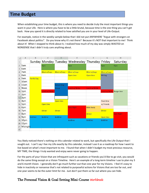# **Time Budget**

When establishing your time budget, this is where you need to decide truly the most important things you want in your Life. Here is where you have to be a little brutal, because time is the one thing you can't get back. How you spend it is directly related to how satisfied you are in your level of Life-Output.

For example, notice in the weekly sample below that I did not put ANYWHERE "Argue with strangers on Facebook about politics". Do you know why it's not there? Because it's NOT that important to me! Think about it! When I stopped to think about it, I realized how much of my day was simply WASTED on NONSENSE that I didn't truly care anything about.

|                | $\overline{A}$ | B                 | $\mathsf{C}$        | D                   | E                                               | F                   | G                        | H                 |
|----------------|----------------|-------------------|---------------------|---------------------|-------------------------------------------------|---------------------|--------------------------|-------------------|
| 1              |                |                   |                     |                     | Sunday Monday Tuesday Wednesday Thursday Friday |                     |                          | Saturday          |
| $\overline{2}$ | 5am            |                   | Gym                 |                     | Gym                                             |                     | Gym                      | Gym               |
| 3              | 6am            |                   |                     |                     |                                                 |                     |                          |                   |
| $\overline{4}$ | 7am            |                   | <b>Bfast w/boys</b> | <b>Bfast w/boys</b> | <b>Bfast w/boys</b>                             | <b>Bfast w/boys</b> | <b>Bfast w/boys</b>      |                   |
| 5              | 8am            |                   |                     |                     | Open time                                       | Open time           | <b>Writing</b>           |                   |
| 6              | 9am            | <b>Family Day</b> |                     |                     |                                                 |                     |                          |                   |
| $\overline{7}$ | 10am           |                   |                     |                     |                                                 |                     |                          |                   |
| 8              | 11am           |                   |                     | <b>Networking</b>   |                                                 |                     |                          |                   |
| 9              | Noon           |                   |                     | Group               | unch w/ Bride                                   | Lunch w/ Bride      |                          |                   |
| 10             | 1pm            |                   | Lunch w/ Bride      |                     |                                                 |                     | unch w/ Bride Range time |                   |
| 11             | 2pm            |                   |                     |                     |                                                 |                     |                          |                   |
| 12             | 3pm            |                   |                     |                     |                                                 |                     |                          |                   |
|                | 13 4pm         |                   |                     | Open time           |                                                 |                     | Float time               |                   |
|                | 14 5pm         |                   | Open time           |                     |                                                 |                     | w/ Friends               |                   |
|                | 15 6pm         |                   |                     |                     | <b>Date Night</b>                               | <b>Bible Study</b>  |                          |                   |
| 16             | 7pm            |                   | <b>Dinner</b>       | <b>Dinner</b>       |                                                 |                     | <b>Dinner</b>            |                   |
| 17             | 8pm            |                   |                     |                     |                                                 | <b>Dinner</b>       |                          | <b>Date Night</b> |
|                | 18 9pm         | <b>Bedtime</b>    | <b>Bedtime</b>      | <b>Bedtime</b>      |                                                 |                     | Open time                |                   |
| 19             | 10pm           |                   |                     |                     | <b>Bedtime</b>                                  | <b>Bedtime</b>      | <b>Bedtime</b>           |                   |
| 20             | 11pm           |                   |                     |                     |                                                 |                     |                          |                   |
| 21             | Midnight       |                   |                     |                     |                                                 |                     |                          |                   |
| 22<br>$-1$     |                |                   |                     |                     |                                                 |                     |                          |                   |

You likely noticed there's nothing on this calendar related to work, but specifically the Life Output that I sought out. I can't say I live my Life exactly by this calendar, instead I use it as a roadmap for how I want to live based on what's most important to me. I found that when I didn't budget my most precious resource, MY TIME, the things I truly wanted and enjoy were never going to happen.

For the parts of your Vision that are infrequent such as vacations or friends you'd like to go visit, you would do the same thing except on a Vision Timeline. Here's an example of a long-term timeline I use to plan my 3 and 6 month Vision. I generally don't go much further out than one year for my Visions. I feel it's easy to hide in inactivity or nonsense that's not related to purposeful actions for Visions that are too far out, and one year seems to be the outer limit for me. Just don't put them so far out where you can hide.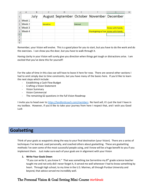|                | $\mathsf{A}$ | B    | C        | D                                          | F       | F                                    | G                       | н |
|----------------|--------------|------|----------|--------------------------------------------|---------|--------------------------------------|-------------------------|---|
|                |              | July |          | August September October November December |         |                                      |                         |   |
|                | Week 1       |      |          |                                            |         |                                      |                         |   |
| $\overline{3}$ | Week 2       |      | Vacation |                                            | Retreat |                                      |                         |   |
|                | Week 3       |      |          |                                            |         |                                      | <b>Home with Family</b> |   |
|                | Week 4       |      |          |                                            |         | Thanksgiving w/ Sue Home with Family |                         |   |
| 6              |              |      |          |                                            |         |                                      |                         |   |
|                |              |      |          |                                            |         |                                      |                         |   |
| 8              |              |      |          |                                            |         |                                      |                         |   |
| $\mathbf{Q}$   |              |      |          |                                            |         |                                      |                         |   |

Remember, your Vision will evolve. This is a good place for you to start, but you have to do the work and do the exercises. I can show you the door, but you have to walk through it.

Having clarity in your Vision will surely give you direction when things get tough or distractions arise. I am excited that you've done this for yourself!

For the sake of time in this class we will have to leave it here for now. There are several other sections I had to omit simply due to time constraints, but you have many of the basics here. If you'd like to learn the next steps which include:

- Establishing a Cash Flow Budget
- Crafting a Vision Statement
- Vision Summary
- Vision Commercial
- The remaining 62 questions in the full Vision Roadmap

I invite you to head over to<https://landlordcoach.com/members>No hard sell, it's just the tool I have in my toolbox. However, if you'd like to take your journey from here I respect that, and I wish you Good Luck

# **Goalsetting**

Think of your goals as waypoints along the way to your final destination (your Vision). There are a series of techniques I've learned, used personally, and coached others about goalsetting. These are goalsetting methods I've seen some of the most successful people using, and I know will be a huge benefit to you if you implement them. Just make sure each of your goals are in alignment with your Vision

#### **1. Write Your Goals Down**

"If you can write it, you know it." That was something Joe Sorrentino my  $8^{th}$  grade science teacher taught me and not only did I never forget it, it served me well whenever I had to know something by heart. Through high school, to my time in the U.S. Marines, all through Purdue University and beyond, that advice served me incredibly well.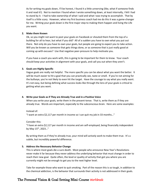As for writing my goals down, I'll be honest, I found it a little unnerving (like, what if someone finds it and read it!). Not to mention I found when I wrote something down, at least internally, I felt I had to stand by it. I had to take ownership of what I said and what I was trying to accomplish. That by itself is a little scary. However, when my first business coach had me do this it was a game-changer for me. Writing your goals down is the first major step to making them happen and living the Life you want.

#### **2. Make them Known**

Ok, so you might not want to post your goals on Facebook or shouted them from the top of a building for all to hear, but what if you did? All of a sudden you have to own what you put out there. Not only do you have to own your goals, but people are going to expect you to take action. Will you be known as someone that gets things done, or as someone that is just really good at coming up with excuses? Use that negative peer-pressure to help motivate you.

If you have a coach you work with, this is going to be important for them to know. Your coach should keep your activities in alignment with your goals, and call you out when they aren't.

#### **3. Goals are Highly Specific**

Vague goals are really not helpful. The more specific you can be about what you want the better. It will be much easier to hit a goal that you can practically see, taste or smell. If you're not aiming for the bullseye, you're not likely to even hit the target. Have the courage to say what you really want. It's not easy, but being defining what success looks like through the lens of your goals is critical to getting what you want.

#### **4. Write your Goals as if They are Already True and in a Positive Voice**

When you write your goals, write them in the present-tense. That is, write them as if they are already true. Words are important, especially to the subconscious brain. Here are some examples:

Instead of: "I want an extra \$2,117 per month in income so I can quit my job in 33 months…"

Consider this:

"I have an extra \$2,117 per month in income and am self-employed, being financially independent by May 15<sup>th</sup>, 2023..."

By writing them as if they're already true, your mind will actively work to make them true. It's a subtle, but incredibly powerful difference.

#### **5. Address the Necessary Behavior Change**

This is where most goals die a sure death. Most people who announce New Year's Resolutions never make it far because they never address the underlying behavior that must change in order to reach their new goal. Quite often, the level or quality of activity that got you where you are currently might not be enough to get you to the next higher level.

Take for example those who want to quit smoking. Part of the reason this is so tough, in addition to the chemical addiction, is the behavior that surrounds their activity is not addressed in their goals.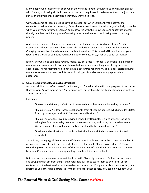Many people who smoke often do so when they engage in other activities like driving, hanging out with friends, or drinking alcohol. In order to quit smoking, it would make sense then to adjust their behavior and avoid those activities if they truly wanted to stop.

Obviously, some of these activities can't be avoided, but when you identify the activity that connects to their undesired behavior, it's much easier to address. If you know you're likely to smoke when you drive, for example, you can be empowered with this knowledge and substitute another (ideally healthier) activity in place of smoking when you drive, such as drinking water or eating popcorn.

Addressing a behavior change is not easy, and as stated earlier, this is why most New Year's Resolutions fail because they fail to address the underlying behavior that needs to be changed. Changing is easier too if you have an accountability partner. This should NOT be a friend or your spouse, this should be someone you have no other connection to, such as a coach or mentor.

Ideally, this would be someone you pay money to. Let's face it, for nearly everyone (me included), money equals commitment. You simply have to have some skin in the game. In my personal experience, I never really started to have big gains towards reaching my goals until I started paying money to someone that was not interested in being my friend or wanted my approval and acceptance.

#### **6. Goals are Quantifiable, as much as Practical.**

Avoid words like "more" or "better" but instead, opt for values that will show progress. Don't write that you want "more money" or a "better marriage" but instead, be highly specific and use metrics as much as practical.

#### Examples:

"I have an additional \$2,300 in net income each month from my wholesaling business."

"I make \$10,227 in total income each month from all income sources, which includes \$8,020 from my current job and \$2,207 from my rental business."

"I make my wife feel loved by leaving her hand-written notes 3 times a week, texting or telling her four times a day how much she means to me, and taking her on a date every Wednesday night where I am mentally present and fully engaged with her."

"I tell my husband twice each day how desirable he is and find ways to make him feel respected."

Sometimes, having a goal that is unquantifiable is unavoidable, such as in the last two examples. In my own case, my wife and I have as part of our overall Vision to "Raise two good men." This is something we want for our sons. Part of that Vision is quantifiable, that is, we are raising them to be strong Christian-centered men by sending them to a faith-based school.

But how do you put a value on something like that? Obviously, you can't. Each of our sons excels and struggles with different things, but overall it is our job to teach them to be ethical, Christcentered, and the best versions of themselves as they can be. For goals or Visions such as this, be as specific as you can, just be careful to try to set goals for other people. You can only quantify your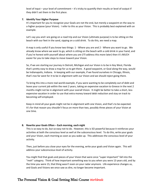level of input – your level of commitment – it's tricky to quantify their results or level of output if they didn't set them in the first place.

#### **7. Identify Your Higher Purpose**

It's important for you to recognize your Goals are not the end, but merely a waypoint on the way to a higher purpose (your Vision). I refer to this as your Vision. This is probably best explained with an example.

Let's say you and I are going on a road trip and our Vision (ultimate purpose) is to be sitting on the beach with our feet in the sand, sipping on a cold drink. To do this, we need a map.

A map is only useful if you know two things: 1 - Where you are and 2 - Where you want to go. We already know where we want to go, which is sitting on the beach with a cold drink in your hand, and if you're honest with yourself about where you are (I'll address this more later) then it's MUCH easier for you to take steps to move toward your Vision.

So, if we are starting our journey in Detroit, Michigan and our Vision is to be in Key West, Florida that's pretty easy to draw a map for us to get there. A good waypoint, or Goal along the way, would be Indianapolis, Indiana. In keeping with our example, if we found ourselves in Chicago, Illinois, that's too far west for it to be in alignment with our Vision and we should reject going there.

To bring this into a more real-world example, if you were wanting to be completely out of debt and leave your current job within the next 2 years, taking an expensive vacation to Greece in the next 2 months might not be in alignment with your overall Vision. It might be better to take a short, less expensive vacation in order to use that extra money toward debt reduction and stay on track to becoming self-employed.

Keep in mind all your goals might not be in alignment with one Vision, and that's to be expected. It's for that reason you shouldn't focus on more than two, possibly three pieces of your Vision at one time.

#### **8. Rewrite your Goals Often – Each morning, each night**

This is so easy to do, but so easy not to do. However, this is SO powerful because it reinforces your activities at both the conscious level as well at the subconscious level. To do this, write your goals and your Vision, each morning as soon as you wake up. This addresses the conscious level of your activity.

Then, just before you close your eyes for the evening, write your goals and Vision again. This will address your subconscious level of activity.

You might find that goals and pieces of your Vision that were once "super important" fall into the "meh" category. Think of how important something was to you when you were 13 years old, and by the time you were 15, that thing wasn't even on your radar anymore. Life experience changes us, and Goals and Visions we once saw as dire, no longer become important.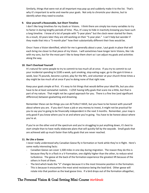Similarly, things that were not at all important may pop up and suddenly make it to the list. That's why it's important to write and rewrite your goals. Not only to chronicle your desires, but to identify when they need to evolve.

#### **9. Give yourself a Reasonable, but Short Timeline**

I don't like long timelines for my Goals or Visions. I think there are simply too many variables to try to factor in during lengthy periods of time. Plus, it's easy to hide in inactivity knowing you have such a long timeline. I know of a lot of people with "5-year plans" but the clock never started for them. As a result, 10 years later they are still working on their "5-year plan." I can't help but wonder if they made that into a "5-month plan" how their substantially different their lives would be.

Once I have a Vision identified, which for me is generally about a year, I put goals in place that will each bring me closer to that piece of my Vision. I will sometimes have longer term Visions, like I do with my sons, but for the most part I like to keep them short so I can adjust my goals and activities along the way.

#### **10. Don't Overload Yourself**

It's natural for some people to try to commit to too much all at once. If you try to commit to cut your incidental spending to \$100 a week, quit smoking, stop eating sugar, go to the gym 6 times a week, lose 75 pounds, become a priest, play for the NFL, and volunteer at your church three times a day might be too much all at once if you're doing none of that right now.

Keep your goals simple at first. It's easy to list things that would define your ideal life, but you also have to be at least somewhat realistic. I LOVE having lofty goals that scare me a little, but that is part of my nature. That might not be a good approach for you. There is a fine line (and significant difference) between goalsetting and dreaming.

Remember these can be things you can ACTUALLY HAVE, but you have to be honest with yourself about where you are. If you don't have a job or any money to invest, it might not be practical for you to say you're going to be financially independent in the next 3 months. Remember, your map is only good if you know where you're at and where you're going. You have to be honest about where you're at.

If you're on the other end of the spectrum and you're struggling to put anything down, it's best to start simple than to have really elaborate plans that will quickly fall by the wayside. Small goals that are achieved add up much faster than lofty goals that are never reached.

#### **11. Be Like a Goose**

I never really understood why Canadian Geese fly in formation or honk while they're in flight. Here's some really interesting facts:

- Canadian Geese can cover 1,500 miles in one day during migration. The reason they do this is because they fly in a flock in a V-Formation, one slightly higher than the other, to reduce wind turbulence. The geese at the back of the formation experience the greatest lift because of the others in front of them.
- The bird which leads the "V" changes because it is the most tiresome position in the formation. This is because it encounters the most wind resistance being the lead-bird. Other geese will rotate into that position as the lead goose tires. If a bird drops out of the formation altogether,